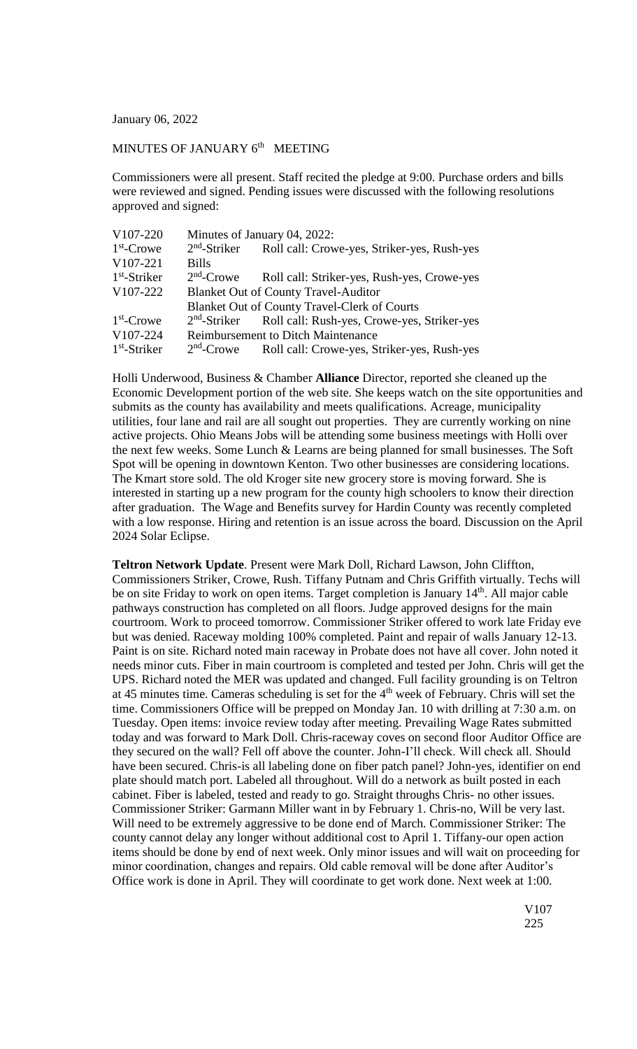January 06, 2022

## MINUTES OF JANUARY  $6<sup>th</sup>$  MEETING

Commissioners were all present. Staff recited the pledge at 9:00. Purchase orders and bills were reviewed and signed. Pending issues were discussed with the following resolutions approved and signed:

| V107-220       | Minutes of January 04, 2022:              |                                                                      |
|----------------|-------------------------------------------|----------------------------------------------------------------------|
| $1st$ -Crowe   | $2nd$ -Striker                            | Roll call: Crowe-yes, Striker-yes, Rush-yes                          |
| V107-221       | <b>Bills</b>                              |                                                                      |
| $1st$ -Striker | $2nd$ -Crowe                              | Roll call: Striker-yes, Rush-yes, Crowe-yes                          |
| V107-222       |                                           | <b>Blanket Out of County Travel-Auditor</b>                          |
|                |                                           | <b>Blanket Out of County Travel-Clerk of Courts</b>                  |
| $1st$ -Crowe   |                                           | 2 <sup>nd</sup> -Striker Roll call: Rush-yes, Crowe-yes, Striker-yes |
| V107-224       | <b>Reimbursement to Ditch Maintenance</b> |                                                                      |
| $1st$ -Striker | $2nd$ -Crowe                              | Roll call: Crowe-yes, Striker-yes, Rush-yes                          |

Holli Underwood, Business & Chamber **Alliance** Director, reported she cleaned up the Economic Development portion of the web site. She keeps watch on the site opportunities and submits as the county has availability and meets qualifications. Acreage, municipality utilities, four lane and rail are all sought out properties. They are currently working on nine active projects. Ohio Means Jobs will be attending some business meetings with Holli over the next few weeks. Some Lunch & Learns are being planned for small businesses. The Soft Spot will be opening in downtown Kenton. Two other businesses are considering locations. The Kmart store sold. The old Kroger site new grocery store is moving forward. She is interested in starting up a new program for the county high schoolers to know their direction after graduation. The Wage and Benefits survey for Hardin County was recently completed with a low response. Hiring and retention is an issue across the board. Discussion on the April 2024 Solar Eclipse.

**Teltron Network Update**. Present were Mark Doll, Richard Lawson, John Cliffton, Commissioners Striker, Crowe, Rush. Tiffany Putnam and Chris Griffith virtually. Techs will be on site Friday to work on open items. Target completion is January 14<sup>th</sup>. All major cable pathways construction has completed on all floors. Judge approved designs for the main courtroom. Work to proceed tomorrow. Commissioner Striker offered to work late Friday eve but was denied. Raceway molding 100% completed. Paint and repair of walls January 12-13. Paint is on site. Richard noted main raceway in Probate does not have all cover. John noted it needs minor cuts. Fiber in main courtroom is completed and tested per John. Chris will get the UPS. Richard noted the MER was updated and changed. Full facility grounding is on Teltron at 45 minutes time. Cameras scheduling is set for the 4<sup>th</sup> week of February. Chris will set the time. Commissioners Office will be prepped on Monday Jan. 10 with drilling at 7:30 a.m. on Tuesday. Open items: invoice review today after meeting. Prevailing Wage Rates submitted today and was forward to Mark Doll. Chris-raceway coves on second floor Auditor Office are they secured on the wall? Fell off above the counter. John-I'll check. Will check all. Should have been secured. Chris-is all labeling done on fiber patch panel? John-yes, identifier on end plate should match port. Labeled all throughout. Will do a network as built posted in each cabinet. Fiber is labeled, tested and ready to go. Straight throughs Chris- no other issues. Commissioner Striker: Garmann Miller want in by February 1. Chris-no, Will be very last. Will need to be extremely aggressive to be done end of March. Commissioner Striker: The county cannot delay any longer without additional cost to April 1. Tiffany-our open action items should be done by end of next week. Only minor issues and will wait on proceeding for minor coordination, changes and repairs. Old cable removal will be done after Auditor's Office work is done in April. They will coordinate to get work done. Next week at 1:00.